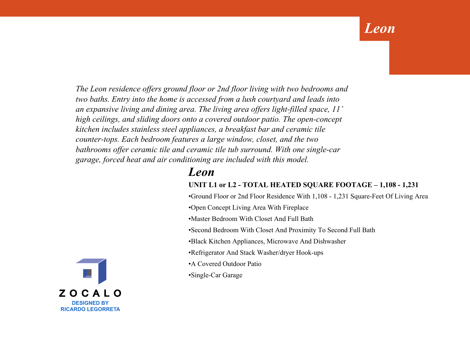# *Leon*

*The Leon residence offers ground floor or 2nd floor living with two bedrooms and two baths. Entry into the home is accessed from a lush courtyard and leads into an expansive living and dining area. The living area offers light-filled space, 11' high ceilings, and sliding doors onto a covered outdoor patio. The open-concept kitchen includes stainless steel appliances, a breakfast bar and ceramic tile counter-tops. Each bedroom features a large window, closet, and the two bathrooms offer ceramic tile and ceramic tile tub surround. With one single-car garage, forced heat and air conditioning are included with this model.*

### *Leon*

### **UNIT L1 or L2 - TOTAL HEATED SQUARE FOOTAGE – 1,108 - 1,231**

•Ground Floor or 2nd Floor Residence With 1,108 - 1,231 Square-Feet Of Living Area

- •Open Concept Living Area With Fireplace
- •Master Bedroom With Closet And Full Bath
- •Second Bedroom With Closet And Proximity To Second Full Bath
- •Black Kitchen Appliances, Microwave And Dishwasher
- •Refrigerator And Stack Washer/dryer Hook-ups
- •A Covered Outdoor Patio
- •Single-Car Garage

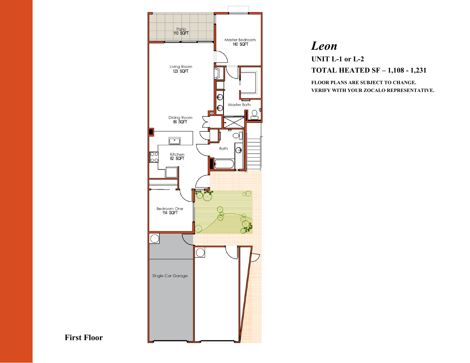

## *Leon* **UNIT L-1 or L-2 TOTAL HEATED SF – 1,108 - 1,231**

**FLOOR PLANS ARE SUBJECT TO CHANGE. VERIFY WITH YOUR ZOCALO REPRESENTATIVE.**

**First Floor**